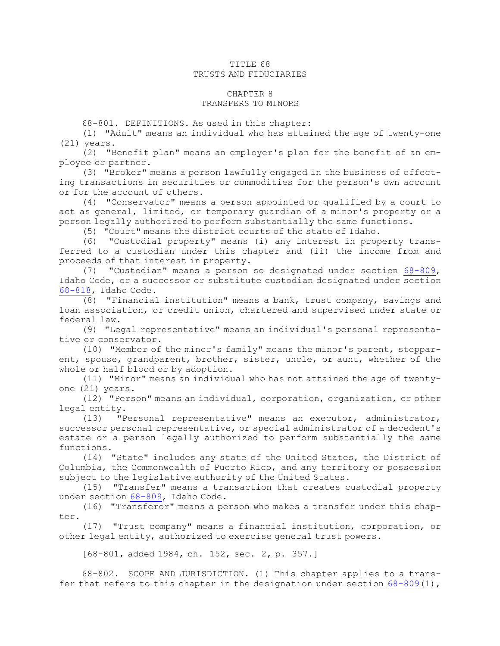## TITLE 68

## TRUSTS AND FIDUCIARIES

### CHAPTER 8

# TRANSFERS TO MINORS

68-801. DEFINITIONS. As used in this chapter:

(1) "Adult" means an individual who has attained the age of twenty-one (21) years.

(2) "Benefit plan" means an employer's plan for the benefit of an employee or partner.

(3) "Broker" means <sup>a</sup> person lawfully engaged in the business of effecting transactions in securities or commodities for the person's own account or for the account of others.

(4) "Conservator" means <sup>a</sup> person appointed or qualified by <sup>a</sup> court to act as general, limited, or temporary guardian of <sup>a</sup> minor's property or <sup>a</sup> person legally authorized to perform substantially the same functions.

(5) "Court" means the district courts of the state of Idaho.

(6) "Custodial property" means (i) any interest in property transferred to <sup>a</sup> custodian under this chapter and (ii) the income from and proceeds of that interest in property.

(7) "Custodian" means <sup>a</sup> person so designated under section [68-809](https://legislature.idaho.gov/statutesrules/idstat/Title68/T68CH8/SECT68-809), Idaho Code, or <sup>a</sup> successor or substitute custodian designated under section [68-818](https://legislature.idaho.gov/statutesrules/idstat/Title68/T68CH8/SECT68-818), Idaho Code.

(8) "Financial institution" means <sup>a</sup> bank, trust company, savings and loan association, or credit union, chartered and supervised under state or federal law.

(9) "Legal representative" means an individual's personal representative or conservator.

(10) "Member of the minor's family" means the minor's parent, stepparent, spouse, grandparent, brother, sister, uncle, or aunt, whether of the whole or half blood or by adoption.

(11) "Minor" means an individual who has not attained the age of twentyone (21) years.

(12) "Person" means an individual, corporation, organization, or other legal entity.

(13) "Personal representative" means an executor, administrator, successor personal representative, or special administrator of <sup>a</sup> decedent's estate or <sup>a</sup> person legally authorized to perform substantially the same functions.

(14) "State" includes any state of the United States, the District of Columbia, the Commonwealth of Puerto Rico, and any territory or possession subject to the legislative authority of the United States.

(15) "Transfer" means <sup>a</sup> transaction that creates custodial property under section [68-809](https://legislature.idaho.gov/statutesrules/idstat/Title68/T68CH8/SECT68-809), Idaho Code.

(16) "Transferor" means <sup>a</sup> person who makes <sup>a</sup> transfer under this chapter.

(17) "Trust company" means <sup>a</sup> financial institution, corporation, or other legal entity, authorized to exercise general trust powers.

[68-801, added 1984, ch. 152, sec. 2, p. 357.]

68-802. SCOPE AND JURISDICTION. (1) This chapter applies to <sup>a</sup> transfer that refers to this chapter in the designation under section  $68-809(1)$  $68-809(1)$ ,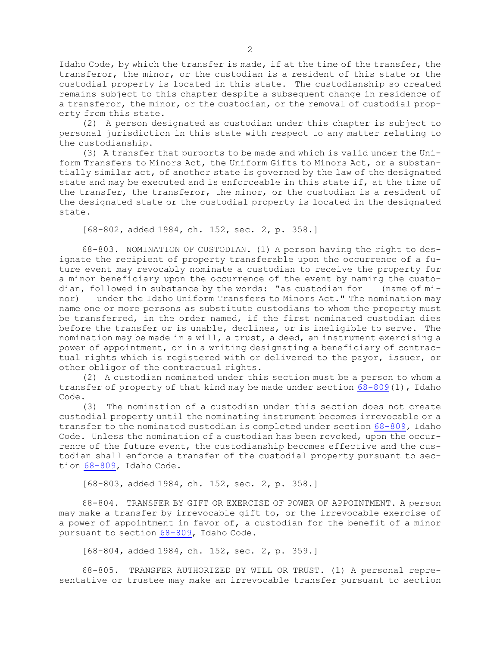Idaho Code, by which the transfer is made, if at the time of the transfer, the transferor, the minor, or the custodian is <sup>a</sup> resident of this state or the custodial property is located in this state. The custodianship so created remains subject to this chapter despite <sup>a</sup> subsequent change in residence of <sup>a</sup> transferor, the minor, or the custodian, or the removal of custodial property from this state.

(2) <sup>A</sup> person designated as custodian under this chapter is subject to personal jurisdiction in this state with respect to any matter relating to the custodianship.

(3) <sup>A</sup> transfer that purports to be made and which is valid under the Uniform Transfers to Minors Act, the Uniform Gifts to Minors Act, or <sup>a</sup> substantially similar act, of another state is governed by the law of the designated state and may be executed and is enforceable in this state if, at the time of the transfer, the transferor, the minor, or the custodian is <sup>a</sup> resident of the designated state or the custodial property is located in the designated state.

[68-802, added 1984, ch. 152, sec. 2, p. 358.]

68-803. NOMINATION OF CUSTODIAN. (1) <sup>A</sup> person having the right to designate the recipient of property transferable upon the occurrence of <sup>a</sup> future event may revocably nominate <sup>a</sup> custodian to receive the property for <sup>a</sup> minor beneficiary upon the occurrence of the event by naming the custodian, followed in substance by the words: "as custodian for (name of minor) under the Idaho Uniform Transfers to Minors Act." The nomination may name one or more persons as substitute custodians to whom the property must be transferred, in the order named, if the first nominated custodian dies before the transfer or is unable, declines, or is ineligible to serve. The nomination may be made in <sup>a</sup> will, <sup>a</sup> trust, <sup>a</sup> deed, an instrument exercising <sup>a</sup> power of appointment, or in <sup>a</sup> writing designating <sup>a</sup> beneficiary of contractual rights which is registered with or delivered to the payor, issuer, or other obligor of the contractual rights.

(2) <sup>A</sup> custodian nominated under this section must be <sup>a</sup> person to whom <sup>a</sup> transfer of property of that kind may be made under section  $68-809(1)$  $68-809(1)$ , Idaho Code.

(3) The nomination of <sup>a</sup> custodian under this section does not create custodial property until the nominating instrument becomes irrevocable or <sup>a</sup> transfer to the nominated custodian is completed under section [68-809](https://legislature.idaho.gov/statutesrules/idstat/Title68/T68CH8/SECT68-809), Idaho Code. Unless the nomination of <sup>a</sup> custodian has been revoked, upon the occurrence of the future event, the custodianship becomes effective and the custodian shall enforce <sup>a</sup> transfer of the custodial property pursuant to section [68-809](https://legislature.idaho.gov/statutesrules/idstat/Title68/T68CH8/SECT68-809), Idaho Code.

[68-803, added 1984, ch. 152, sec. 2, p. 358.]

68-804. TRANSFER BY GIFT OR EXERCISE OF POWER OF APPOINTMENT. A person may make <sup>a</sup> transfer by irrevocable gift to, or the irrevocable exercise of <sup>a</sup> power of appointment in favor of, <sup>a</sup> custodian for the benefit of <sup>a</sup> minor pursuant to section [68-809](https://legislature.idaho.gov/statutesrules/idstat/Title68/T68CH8/SECT68-809), Idaho Code.

[68-804, added 1984, ch. 152, sec. 2, p. 359.]

68-805. TRANSFER AUTHORIZED BY WILL OR TRUST. (1) A personal representative or trustee may make an irrevocable transfer pursuant to section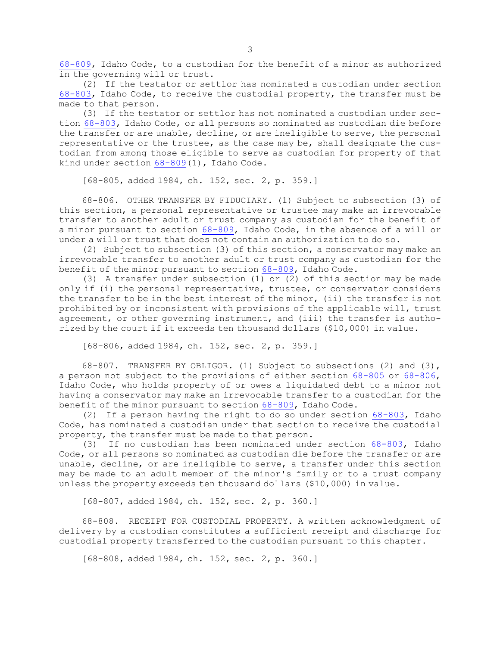[68-809](https://legislature.idaho.gov/statutesrules/idstat/Title68/T68CH8/SECT68-809), Idaho Code, to <sup>a</sup> custodian for the benefit of <sup>a</sup> minor as authorized in the governing will or trust.

(2) If the testator or settlor has nominated <sup>a</sup> custodian under section [68-803](https://legislature.idaho.gov/statutesrules/idstat/Title68/T68CH8/SECT68-803), Idaho Code, to receive the custodial property, the transfer must be made to that person.

(3) If the testator or settlor has not nominated <sup>a</sup> custodian under section [68-803](https://legislature.idaho.gov/statutesrules/idstat/Title68/T68CH8/SECT68-803), Idaho Code, or all persons so nominated as custodian die before the transfer or are unable, decline, or are ineligible to serve, the personal representative or the trustee, as the case may be, shall designate the custodian from among those eligible to serve as custodian for property of that kind under section [68-809](https://legislature.idaho.gov/statutesrules/idstat/Title68/T68CH8/SECT68-809)(1), Idaho Code.

[68-805, added 1984, ch. 152, sec. 2, p. 359.]

68-806. OTHER TRANSFER BY FIDUCIARY. (1) Subject to subsection (3) of this section, <sup>a</sup> personal representative or trustee may make an irrevocable transfer to another adult or trust company as custodian for the benefit of <sup>a</sup> minor pursuant to section [68-809](https://legislature.idaho.gov/statutesrules/idstat/Title68/T68CH8/SECT68-809), Idaho Code, in the absence of <sup>a</sup> will or under <sup>a</sup> will or trust that does not contain an authorization to do so.

(2) Subject to subsection (3) of this section, <sup>a</sup> conservator may make an irrevocable transfer to another adult or trust company as custodian for the benefit of the minor pursuant to section [68-809](https://legislature.idaho.gov/statutesrules/idstat/Title68/T68CH8/SECT68-809), Idaho Code.

(3) <sup>A</sup> transfer under subsection (1) or (2) of this section may be made only if (i) the personal representative, trustee, or conservator considers the transfer to be in the best interest of the minor, (ii) the transfer is not prohibited by or inconsistent with provisions of the applicable will, trust agreement, or other governing instrument, and (iii) the transfer is authorized by the court if it exceeds ten thousand dollars (\$10,000) in value.

[68-806, added 1984, ch. 152, sec. 2, p. 359.]

68-807. TRANSFER BY OBLIGOR. (1) Subject to subsections (2) and (3), <sup>a</sup> person not subject to the provisions of either section [68-805](https://legislature.idaho.gov/statutesrules/idstat/Title68/T68CH8/SECT68-805) or [68-806](https://legislature.idaho.gov/statutesrules/idstat/Title68/T68CH8/SECT68-806), Idaho Code, who holds property of or owes <sup>a</sup> liquidated debt to <sup>a</sup> minor not having <sup>a</sup> conservator may make an irrevocable transfer to <sup>a</sup> custodian for the benefit of the minor pursuant to section [68-809](https://legislature.idaho.gov/statutesrules/idstat/Title68/T68CH8/SECT68-809), Idaho Code.

(2) If <sup>a</sup> person having the right to do so under section [68-803](https://legislature.idaho.gov/statutesrules/idstat/Title68/T68CH8/SECT68-803), Idaho Code, has nominated <sup>a</sup> custodian under that section to receive the custodial property, the transfer must be made to that person.

(3) If no custodian has been nominated under section [68-803](https://legislature.idaho.gov/statutesrules/idstat/Title68/T68CH8/SECT68-803), Idaho Code, or all persons so nominated as custodian die before the transfer or are unable, decline, or are ineligible to serve, <sup>a</sup> transfer under this section may be made to an adult member of the minor's family or to <sup>a</sup> trust company unless the property exceeds ten thousand dollars (\$10,000) in value.

[68-807, added 1984, ch. 152, sec. 2, p. 360.]

68-808. RECEIPT FOR CUSTODIAL PROPERTY. <sup>A</sup> written acknowledgment of delivery by <sup>a</sup> custodian constitutes <sup>a</sup> sufficient receipt and discharge for custodial property transferred to the custodian pursuant to this chapter.

[68-808, added 1984, ch. 152, sec. 2, p. 360.]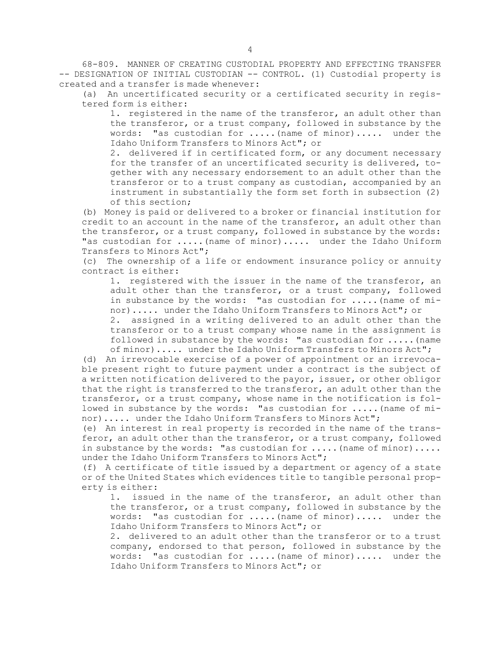68-809. MANNER OF CREATING CUSTODIAL PROPERTY AND EFFECTING TRANSFER -- DESIGNATION OF INITIAL CUSTODIAN -- CONTROL. (1) Custodial property is created and <sup>a</sup> transfer is made whenever:

(a) An uncertificated security or <sup>a</sup> certificated security in registered form is either:

1. registered in the name of the transferor, an adult other than the transferor, or <sup>a</sup> trust company, followed in substance by the words: "as custodian for .....(name of minor)..... under the Idaho Uniform Transfers to Minors Act"; or

2. delivered if in certificated form, or any document necessary for the transfer of an uncertificated security is delivered, together with any necessary endorsement to an adult other than the transferor or to <sup>a</sup> trust company as custodian, accompanied by an instrument in substantially the form set forth in subsection (2) of this section;

(b) Money is paid or delivered to <sup>a</sup> broker or financial institution for credit to an account in the name of the transferor, an adult other than the transferor, or <sup>a</sup> trust company, followed in substance by the words: "as custodian for .....(name of minor)..... under the Idaho Uniform Transfers to Minors Act";

(c) The ownership of <sup>a</sup> life or endowment insurance policy or annuity contract is either:

1. registered with the issuer in the name of the transferor, an adult other than the transferor, or <sup>a</sup> trust company, followed in substance by the words: "as custodian for .....(name of minor)..... under the Idaho Uniform Transfers to Minors Act"; or

2. assigned in <sup>a</sup> writing delivered to an adult other than the transferor or to <sup>a</sup> trust company whose name in the assignment is followed in substance by the words: "as custodian for .....(name of minor)..... under the Idaho Uniform Transfers to Minors Act";

(d) An irrevocable exercise of <sup>a</sup> power of appointment or an irrevocable present right to future payment under <sup>a</sup> contract is the subject of <sup>a</sup> written notification delivered to the payor, issuer, or other obligor that the right is transferred to the transferor, an adult other than the transferor, or <sup>a</sup> trust company, whose name in the notification is followed in substance by the words: "as custodian for .....(name of minor)..... under the Idaho Uniform Transfers to Minors Act";

(e) An interest in real property is recorded in the name of the transferor, an adult other than the transferor, or <sup>a</sup> trust company, followed in substance by the words: "as custodian for ..... (name of minor)..... under the Idaho Uniform Transfers to Minors Act";

(f) <sup>A</sup> certificate of title issued by <sup>a</sup> department or agency of <sup>a</sup> state or of the United States which evidences title to tangible personal property is either:

1. issued in the name of the transferor, an adult other than the transferor, or <sup>a</sup> trust company, followed in substance by the words: "as custodian for .....(name of minor)..... under the Idaho Uniform Transfers to Minors Act"; or

2. delivered to an adult other than the transferor or to <sup>a</sup> trust company, endorsed to that person, followed in substance by the words: "as custodian for .....(name of minor)..... under the Idaho Uniform Transfers to Minors Act"; or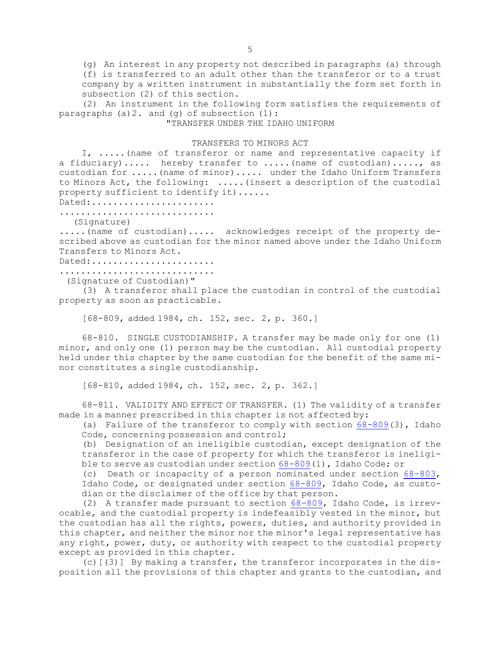(g) An interest in any property not described in paragraphs (a) through (f) is transferred to an adult other than the transferor or to <sup>a</sup> trust company by <sup>a</sup> written instrument in substantially the form set forth in subsection (2) of this section.

(2) An instrument in the following form satisfies the requirements of paragraphs (a)2. and (g) of subsection (1):

#### "TRANSFER UNDER THE IDAHO UNIFORM

#### TRANSFERS TO MINORS ACT

I, .....(name of transferor or name and representative capacity if <sup>a</sup> fiduciary)..... hereby transfer to .....(name of custodian)....., as custodian for .....(name of minor)..... under the Idaho Uniform Transfers to Minors Act, the following: .....(insert <sup>a</sup> description of the custodial property sufficient to identify it)......

```
Dated:......................
```
............................. (Signature)

.....(name of custodian)..... acknowledges receipt of the property described above as custodian for the minor named above under the Idaho Uniform Transfers to Minors Act.

```
Dated:......................
```
.............................

(Signature of Custodian)"

(3) <sup>A</sup> transferor shall place the custodian in control of the custodial property as soon as practicable.

[68-809, added 1984, ch. 152, sec. 2, p. 360.]

68-810. SINGLE CUSTODIANSHIP. A transfer may be made only for one (1) minor, and only one (1) person may be the custodian. All custodial property held under this chapter by the same custodian for the benefit of the same minor constitutes <sup>a</sup> single custodianship.

[68-810, added 1984, ch. 152, sec. 2, p. 362.]

68-811. VALIDITY AND EFFECT OF TRANSFER. (1) The validity of <sup>a</sup> transfer made in <sup>a</sup> manner prescribed in this chapter is not affected by:

(a) Failure of the transferor to comply with section [68-809](https://legislature.idaho.gov/statutesrules/idstat/Title68/T68CH8/SECT68-809)(3), Idaho Code, concerning possession and control;

(b) Designation of an ineligible custodian, except designation of the transferor in the case of property for which the transferor is ineligible to serve as custodian under section [68-809](https://legislature.idaho.gov/statutesrules/idstat/Title68/T68CH8/SECT68-809)(1), Idaho Code; or

(c) Death or incapacity of a person nominated under section  $68-803$ , Idaho Code, or designated under section [68-809](https://legislature.idaho.gov/statutesrules/idstat/Title68/T68CH8/SECT68-809), Idaho Code, as custodian or the disclaimer of the office by that person.

(2) <sup>A</sup> transfer made pursuant to section [68-809](https://legislature.idaho.gov/statutesrules/idstat/Title68/T68CH8/SECT68-809), Idaho Code, is irrevocable, and the custodial property is indefeasibly vested in the minor, but the custodian has all the rights, powers, duties, and authority provided in this chapter, and neither the minor nor the minor's legal representative has any right, power, duty, or authority with respect to the custodial property except as provided in this chapter.

(c)[(3)] By making <sup>a</sup> transfer, the transferor incorporates in the disposition all the provisions of this chapter and grants to the custodian, and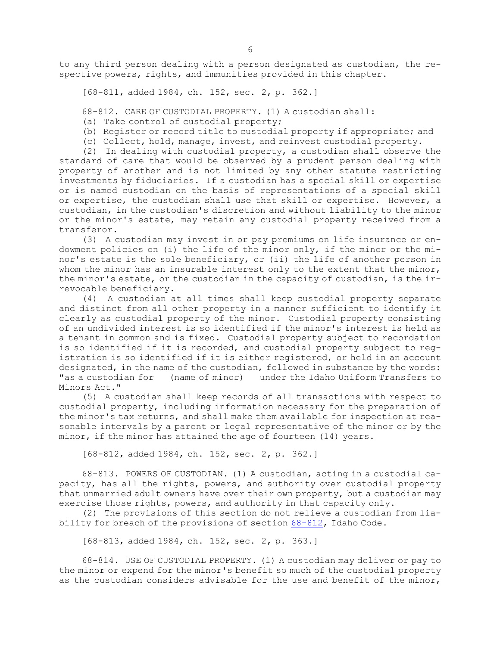to any third person dealing with <sup>a</sup> person designated as custodian, the respective powers, rights, and immunities provided in this chapter.

[68-811, added 1984, ch. 152, sec. 2, p. 362.]

68-812. CARE OF CUSTODIAL PROPERTY. (1) A custodian shall:

- (a) Take control of custodial property;
- (b) Register or record title to custodial property if appropriate; and
- (c) Collect, hold, manage, invest, and reinvest custodial property.

(2) In dealing with custodial property, <sup>a</sup> custodian shall observe the standard of care that would be observed by <sup>a</sup> prudent person dealing with property of another and is not limited by any other statute restricting investments by fiduciaries. If <sup>a</sup> custodian has <sup>a</sup> special skill or expertise or is named custodian on the basis of representations of <sup>a</sup> special skill or expertise, the custodian shall use that skill or expertise. However, <sup>a</sup> custodian, in the custodian's discretion and without liability to the minor or the minor's estate, may retain any custodial property received from <sup>a</sup> transferor.

(3) <sup>A</sup> custodian may invest in or pay premiums on life insurance or endowment policies on (i) the life of the minor only, if the minor or the minor's estate is the sole beneficiary, or (ii) the life of another person in whom the minor has an insurable interest only to the extent that the minor, the minor's estate, or the custodian in the capacity of custodian, is the irrevocable beneficiary.

(4) <sup>A</sup> custodian at all times shall keep custodial property separate and distinct from all other property in <sup>a</sup> manner sufficient to identify it clearly as custodial property of the minor. Custodial property consisting of an undivided interest is so identified if the minor's interest is held as <sup>a</sup> tenant in common and is fixed. Custodial property subject to recordation is so identified if it is recorded, and custodial property subject to registration is so identified if it is either registered, or held in an account designated, in the name of the custodian, followed in substance by the words: "as <sup>a</sup> custodian for (name of minor) under the Idaho Uniform Transfers to Minors Act."

(5) <sup>A</sup> custodian shall keep records of all transactions with respect to custodial property, including information necessary for the preparation of the minor's tax returns, and shall make them available for inspection at reasonable intervals by <sup>a</sup> parent or legal representative of the minor or by the minor, if the minor has attained the age of fourteen (14) years.

[68-812, added 1984, ch. 152, sec. 2, p. 362.]

68-813. POWERS OF CUSTODIAN. (1) <sup>A</sup> custodian, acting in <sup>a</sup> custodial capacity, has all the rights, powers, and authority over custodial property that unmarried adult owners have over their own property, but <sup>a</sup> custodian may exercise those rights, powers, and authority in that capacity only.

(2) The provisions of this section do not relieve <sup>a</sup> custodian from liability for breach of the provisions of section [68-812](https://legislature.idaho.gov/statutesrules/idstat/Title68/T68CH8/SECT68-812), Idaho Code.

[68-813, added 1984, ch. 152, sec. 2, p. 363.]

68-814. USE OF CUSTODIAL PROPERTY. (1) <sup>A</sup> custodian may deliver or pay to the minor or expend for the minor's benefit so much of the custodial property as the custodian considers advisable for the use and benefit of the minor,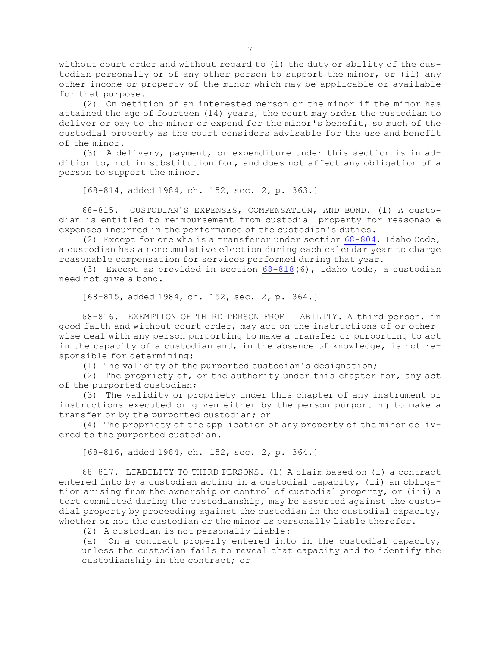without court order and without regard to (i) the duty or ability of the custodian personally or of any other person to support the minor, or (ii) any other income or property of the minor which may be applicable or available for that purpose.

(2) On petition of an interested person or the minor if the minor has attained the age of fourteen (14) years, the court may order the custodian to deliver or pay to the minor or expend for the minor's benefit, so much of the custodial property as the court considers advisable for the use and benefit of the minor.

(3) <sup>A</sup> delivery, payment, or expenditure under this section is in addition to, not in substitution for, and does not affect any obligation of <sup>a</sup> person to support the minor.

[68-814, added 1984, ch. 152, sec. 2, p. 363.]

68-815. CUSTODIAN'S EXPENSES, COMPENSATION, AND BOND. (1) A custodian is entitled to reimbursement from custodial property for reasonable expenses incurred in the performance of the custodian's duties.

(2) Except for one who is <sup>a</sup> transferor under section [68-804](https://legislature.idaho.gov/statutesrules/idstat/Title68/T68CH8/SECT68-804), Idaho Code, <sup>a</sup> custodian has <sup>a</sup> noncumulative election during each calendar year to charge reasonable compensation for services performed during that year.

(3) Except as provided in section [68-818](https://legislature.idaho.gov/statutesrules/idstat/Title68/T68CH8/SECT68-818)(6), Idaho Code, <sup>a</sup> custodian need not give <sup>a</sup> bond.

[68-815, added 1984, ch. 152, sec. 2, p. 364.]

68-816. EXEMPTION OF THIRD PERSON FROM LIABILITY. <sup>A</sup> third person, in good faith and without court order, may act on the instructions of or otherwise deal with any person purporting to make <sup>a</sup> transfer or purporting to act in the capacity of <sup>a</sup> custodian and, in the absence of knowledge, is not responsible for determining:

(1) The validity of the purported custodian's designation;

(2) The propriety of, or the authority under this chapter for, any act of the purported custodian;

(3) The validity or propriety under this chapter of any instrument or instructions executed or given either by the person purporting to make <sup>a</sup> transfer or by the purported custodian; or

(4) The propriety of the application of any property of the minor delivered to the purported custodian.

[68-816, added 1984, ch. 152, sec. 2, p. 364.]

68-817. LIABILITY TO THIRD PERSONS. (1) A claim based on (i) <sup>a</sup> contract entered into by <sup>a</sup> custodian acting in <sup>a</sup> custodial capacity, (ii) an obligation arising from the ownership or control of custodial property, or (iii) <sup>a</sup> tort committed during the custodianship, may be asserted against the custodial property by proceeding against the custodian in the custodial capacity, whether or not the custodian or the minor is personally liable therefor.

(2) <sup>A</sup> custodian is not personally liable:

(a) On <sup>a</sup> contract properly entered into in the custodial capacity, unless the custodian fails to reveal that capacity and to identify the custodianship in the contract; or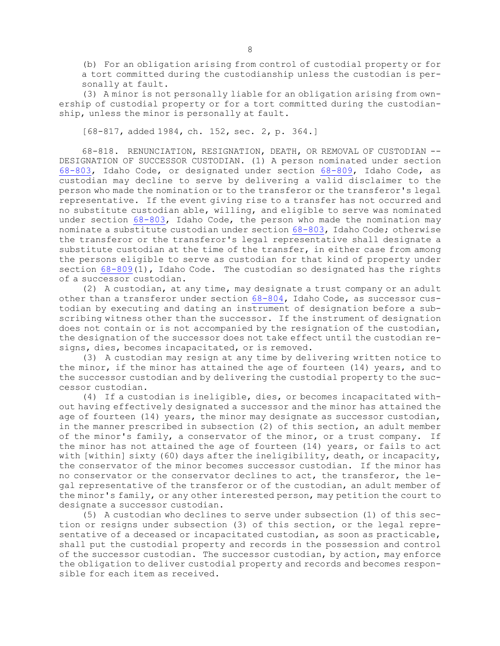(b) For an obligation arising from control of custodial property or for <sup>a</sup> tort committed during the custodianship unless the custodian is personally at fault.

(3) <sup>A</sup> minor is not personally liable for an obligation arising from ownership of custodial property or for <sup>a</sup> tort committed during the custodianship, unless the minor is personally at fault.

[68-817, added 1984, ch. 152, sec. 2, p. 364.]

68-818. RENUNCIATION, RESIGNATION, DEATH, OR REMOVAL OF CUSTODIAN -- DESIGNATION OF SUCCESSOR CUSTODIAN. (1) <sup>A</sup> person nominated under section [68-803](https://legislature.idaho.gov/statutesrules/idstat/Title68/T68CH8/SECT68-803), Idaho Code, or designated under section [68-809](https://legislature.idaho.gov/statutesrules/idstat/Title68/T68CH8/SECT68-809), Idaho Code, as custodian may decline to serve by delivering <sup>a</sup> valid disclaimer to the person who made the nomination or to the transferor or the transferor's legal representative. If the event giving rise to <sup>a</sup> transfer has not occurred and no substitute custodian able, willing, and eligible to serve was nominated under section [68-803](https://legislature.idaho.gov/statutesrules/idstat/Title68/T68CH8/SECT68-803), Idaho Code, the person who made the nomination may nominate <sup>a</sup> substitute custodian under section [68-803](https://legislature.idaho.gov/statutesrules/idstat/Title68/T68CH8/SECT68-803), Idaho Code; otherwise the transferor or the transferor's legal representative shall designate <sup>a</sup> substitute custodian at the time of the transfer, in either case from among the persons eligible to serve as custodian for that kind of property under section  $68-809(1)$  $68-809(1)$ , Idaho Code. The custodian so designated has the rights of <sup>a</sup> successor custodian.

(2) <sup>A</sup> custodian, at any time, may designate <sup>a</sup> trust company or an adult other than <sup>a</sup> transferor under section [68-804](https://legislature.idaho.gov/statutesrules/idstat/Title68/T68CH8/SECT68-804), Idaho Code, as successor custodian by executing and dating an instrument of designation before <sup>a</sup> subscribing witness other than the successor. If the instrument of designation does not contain or is not accompanied by the resignation of the custodian, the designation of the successor does not take effect until the custodian resigns, dies, becomes incapacitated, or is removed.

(3) <sup>A</sup> custodian may resign at any time by delivering written notice to the minor, if the minor has attained the age of fourteen (14) years, and to the successor custodian and by delivering the custodial property to the successor custodian.

(4) If <sup>a</sup> custodian is ineligible, dies, or becomes incapacitated without having effectively designated <sup>a</sup> successor and the minor has attained the age of fourteen (14) years, the minor may designate as successor custodian, in the manner prescribed in subsection (2) of this section, an adult member of the minor's family, <sup>a</sup> conservator of the minor, or <sup>a</sup> trust company. If the minor has not attained the age of fourteen (14) years, or fails to act with [within] sixty (60) days after the ineligibility, death, or incapacity, the conservator of the minor becomes successor custodian. If the minor has no conservator or the conservator declines to act, the transferor, the legal representative of the transferor or of the custodian, an adult member of the minor's family, or any other interested person, may petition the court to designate <sup>a</sup> successor custodian.

(5) A custodian who declines to serve under subsection (1) of this section or resigns under subsection (3) of this section, or the legal representative of a deceased or incapacitated custodian, as soon as practicable, shall put the custodial property and records in the possession and control of the successor custodian. The successor custodian, by action, may enforce the obligation to deliver custodial property and records and becomes responsible for each item as received.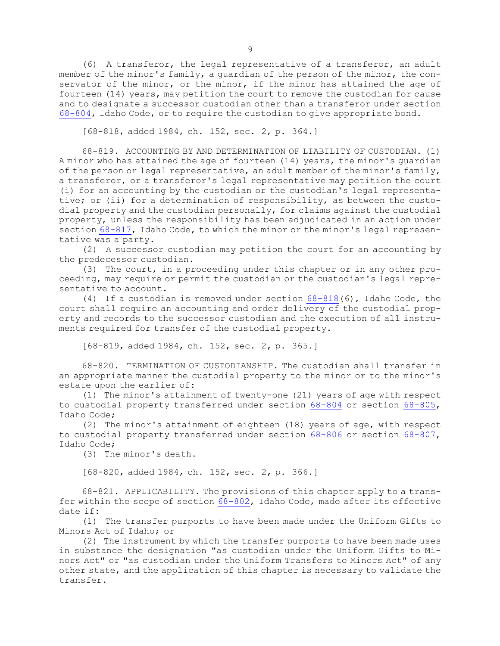(6) <sup>A</sup> transferor, the legal representative of <sup>a</sup> transferor, an adult member of the minor's family, <sup>a</sup> guardian of the person of the minor, the conservator of the minor, or the minor, if the minor has attained the age of fourteen (14) years, may petition the court to remove the custodian for cause and to designate <sup>a</sup> successor custodian other than <sup>a</sup> transferor under section [68-804](https://legislature.idaho.gov/statutesrules/idstat/Title68/T68CH8/SECT68-804), Idaho Code, or to require the custodian to give appropriate bond.

[68-818, added 1984, ch. 152, sec. 2, p. 364.]

68-819. ACCOUNTING BY AND DETERMINATION OF LIABILITY OF CUSTODIAN. (1) <sup>A</sup> minor who has attained the age of fourteen (14) years, the minor's guardian of the person or legal representative, an adult member of the minor's family, <sup>a</sup> transferor, or <sup>a</sup> transferor's legal representative may petition the court (i) for an accounting by the custodian or the custodian's legal representative; or (ii) for <sup>a</sup> determination of responsibility, as between the custodial property and the custodian personally, for claims against the custodial property, unless the responsibility has been adjudicated in an action under section [68-817](https://legislature.idaho.gov/statutesrules/idstat/Title68/T68CH8/SECT68-817), Idaho Code, to which the minor or the minor's legal representative was <sup>a</sup> party.

(2) <sup>A</sup> successor custodian may petition the court for an accounting by the predecessor custodian.

(3) The court, in <sup>a</sup> proceeding under this chapter or in any other proceeding, may require or permit the custodian or the custodian's legal representative to account.

(4) If a custodian is removed under section  $68-818(6)$  $68-818(6)$ , Idaho Code, the court shall require an accounting and order delivery of the custodial property and records to the successor custodian and the execution of all instruments required for transfer of the custodial property.

[68-819, added 1984, ch. 152, sec. 2, p. 365.]

68-820. TERMINATION OF CUSTODIANSHIP. The custodian shall transfer in an appropriate manner the custodial property to the minor or to the minor's estate upon the earlier of:

(1) The minor's attainment of twenty-one (21) years of age with respect to custodial property transferred under section [68-804](https://legislature.idaho.gov/statutesrules/idstat/Title68/T68CH8/SECT68-804) or section [68-805](https://legislature.idaho.gov/statutesrules/idstat/Title68/T68CH8/SECT68-805), Idaho Code;

(2) The minor's attainment of eighteen (18) years of age, with respect to custodial property transferred under section [68-806](https://legislature.idaho.gov/statutesrules/idstat/Title68/T68CH8/SECT68-806) or section [68-807](https://legislature.idaho.gov/statutesrules/idstat/Title68/T68CH8/SECT68-807), Idaho Code;

(3) The minor's death.

[68-820, added 1984, ch. 152, sec. 2, p. 366.]

68-821. APPLICABILITY. The provisions of this chapter apply to <sup>a</sup> transfer within the scope of section [68-802](https://legislature.idaho.gov/statutesrules/idstat/Title68/T68CH8/SECT68-802), Idaho Code, made after its effective date if:

(1) The transfer purports to have been made under the Uniform Gifts to Minors Act of Idaho; or

(2) The instrument by which the transfer purports to have been made uses in substance the designation "as custodian under the Uniform Gifts to Minors Act" or "as custodian under the Uniform Transfers to Minors Act" of any other state, and the application of this chapter is necessary to validate the transfer.